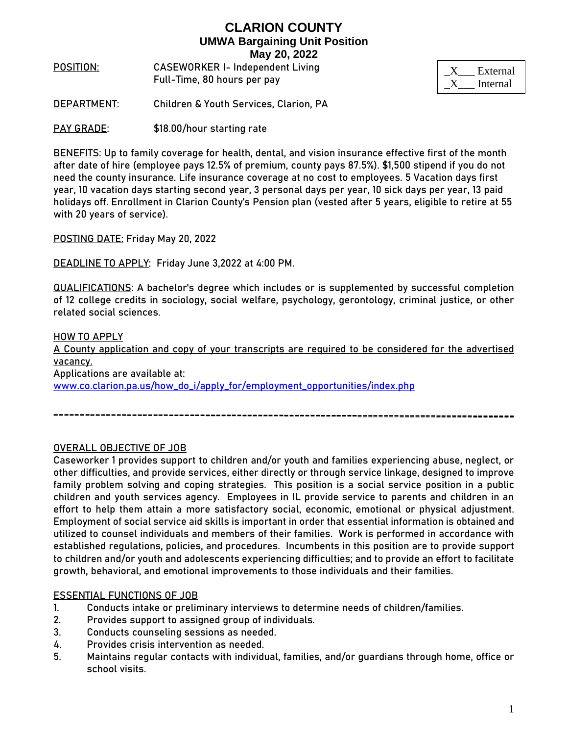**POSITION**: **CASEWORKER I- Independent Living**  Full-Time, 80 hours per pay

| External |
|----------|
| Internal |

**DEPARTMENT**: Children & Youth Services, Clarion, PA

**PAY GRADE:** \$18.00/hour starting rate

**BENEFITS:** Up to family coverage for health, dental, and vision insurance effective first of the month after date of hire (employee pays 12.5% of premium, county pays 87.5%). \$1,500 stipend if you do not need the county insurance. Life insurance coverage at no cost to employees. 5 Vacation days first year, 10 vacation days starting second year, 3 personal days per year, 10 sick days per year, 13 paid holidays off. Enrollment in Clarion County's Pension plan (vested after 5 years, eligible to retire at 55 with 20 years of service).

**POSTING DATE:** Friday May 20, 2022

**DEADLINE TO APPLY:** Friday June 3,2022 at 4:00 PM.

**QUALIFICATIONS:** A bachelor's degree which includes or is supplemented by successful completion of 12 college credits in sociology, social welfare, psychology, gerontology, criminal justice, or other related social sciences.

## **HOW TO APPLY** A County application and copy of your transcripts are required to be considered for the advertised vacancy. Applications are available at: [www.co.clarion.pa.us/how\\_do\\_i/apply\\_for/employment\\_opportunities/index.php](http://www.co.clarion.pa.us/how_do_i/apply_for/employment_opportunities/index.php)

## OVERALL OBJECTIVE OF JOB

Caseworker 1 provides support to children and/or youth and families experiencing abuse, neglect, or other difficulties, and provide services, either directly or through service linkage, designed to improve family problem solving and coping strategies. This position is a social service position in a public children and youth services agency. Employees in IL provide service to parents and children in an effort to help them attain a more satisfactory social, economic, emotional or physical adjustment. Employment of social service aid skills is important in order that essential information is obtained and utilized to counsel individuals and members of their families. Work is performed in accordance with established regulations, policies, and procedures. Incumbents in this position are to provide support to children and/or youth and adolescents experiencing difficulties; and to provide an effort to facilitate growth, behavioral, and emotional improvements to those individuals and their families.

## ESSENTIAL FUNCTIONS OF JOB

- 1. Conducts intake or preliminary interviews to determine needs of children/families.
- 2. Provides support to assigned group of individuals.
- 3. Conducts counseling sessions as needed.
- 4. Provides crisis intervention as needed.
- 5. Maintains regular contacts with individual, families, and/or guardians through home, office or school visits.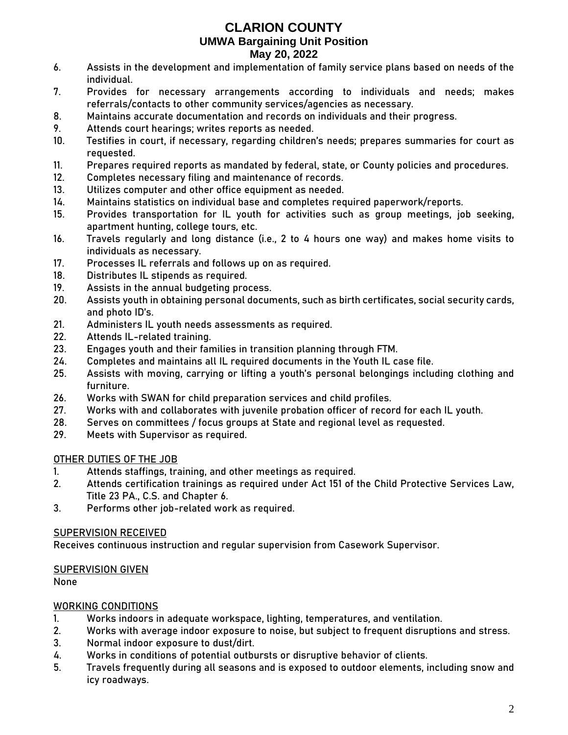- 6. Assists in the development and implementation of family service plans based on needs of the individual.
- 7. Provides for necessary arrangements according to individuals and needs; makes referrals/contacts to other community services/agencies as necessary.
- 8. Maintains accurate documentation and records on individuals and their progress.
- 9. Attends court hearings; writes reports as needed.
- 10. Testifies in court, if necessary, regarding children's needs; prepares summaries for court as requested.
- 11. Prepares required reports as mandated by federal, state, or County policies and procedures.
- 12. Completes necessary filing and maintenance of records.
- 13. Utilizes computer and other office equipment as needed.
- 14. Maintains statistics on individual base and completes required paperwork/reports.
- 15. Provides transportation for IL youth for activities such as group meetings, job seeking, apartment hunting, college tours, etc.
- 16. Travels regularly and long distance (i.e., 2 to 4 hours one way) and makes home visits to individuals as necessary.
- 17. Processes IL referrals and follows up on as required.
- 18. Distributes IL stipends as required.
- 19. Assists in the annual budgeting process.
- 20. Assists youth in obtaining personal documents, such as birth certificates, social security cards, and photo ID's.
- 21. Administers IL youth needs assessments as required.
- 22. Attends IL-related training.
- 23. Engages youth and their families in transition planning through FTM.
- 24. Completes and maintains all IL required documents in the Youth IL case file.
- 25. Assists with moving, carrying or lifting a youth's personal belongings including clothing and furniture.
- 26. Works with SWAN for child preparation services and child profiles.
- 27. Works with and collaborates with juvenile probation officer of record for each IL youth.
- 28. Serves on committees / focus groups at State and regional level as requested.
- 29. Meets with Supervisor as required.

## OTHER DUTIES OF THE JOB

- 1. Attends staffings, training, and other meetings as required.
- 2. Attends certification trainings as required under Act 151 of the Child Protective Services Law, Title 23 PA., C.S. and Chapter 6.
- 3. Performs other job-related work as required.

## SUPERVISION RECEIVED

Receives continuous instruction and regular supervision from Casework Supervisor.

## SUPERVISION GIVEN

None

## WORKING CONDITIONS

- 1. Works indoors in adequate workspace, lighting, temperatures, and ventilation.
- 2. Works with average indoor exposure to noise, but subject to frequent disruptions and stress.
- 3. Normal indoor exposure to dust/dirt.
- 4. Works in conditions of potential outbursts or disruptive behavior of clients.
- 5. Travels frequently during all seasons and is exposed to outdoor elements, including snow and icy roadways.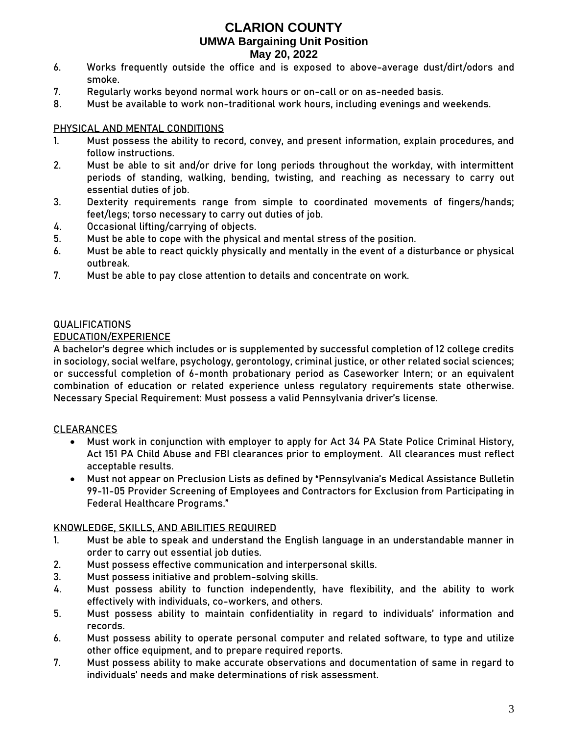- 6. Works frequently outside the office and is exposed to above-average dust/dirt/odors and smoke.
- 7. Regularly works beyond normal work hours or on-call or on as-needed basis.
- 8. Must be available to work non-traditional work hours, including evenings and weekends.

#### PHYSICAL AND MENTAL CONDITIONS

- 1. Must possess the ability to record, convey, and present information, explain procedures, and follow instructions.
- 2. Must be able to sit and/or drive for long periods throughout the workday, with intermittent periods of standing, walking, bending, twisting, and reaching as necessary to carry out essential duties of job.
- 3. Dexterity requirements range from simple to coordinated movements of fingers/hands; feet/legs; torso necessary to carry out duties of job.
- 4. Occasional lifting/carrying of objects.
- 5. Must be able to cope with the physical and mental stress of the position.
- 6. Must be able to react quickly physically and mentally in the event of a disturbance or physical outbreak.
- 7. Must be able to pay close attention to details and concentrate on work.

### **QUALIFICATIONS**

### EDUCATION/EXPERIENCE

A bachelor's degree which includes or is supplemented by successful completion of 12 college credits in sociology, social welfare, psychology, gerontology, criminal justice, or other related social sciences; **or** successful completion of 6-month probationary period as Caseworker Intern; **or** an equivalent combination of education or related experience unless regulatory requirements state otherwise. Necessary Special Requirement: Must possess a valid Pennsylvania driver's license.

#### CLEARANCES

- Must work in conjunction with employer to apply for Act 34 PA State Police Criminal History, Act 151 PA Child Abuse and FBI clearances prior to employment. All clearances must reflect acceptable results.
- Must not appear on Preclusion Lists as defined by "Pennsylvania's Medical Assistance Bulletin 99-11-05 Provider Screening of Employees and Contractors for Exclusion from Participating in Federal Healthcare Programs."

#### KNOWLEDGE, SKILLS, AND ABILITIES REQUIRED

- 1. Must be able to speak and understand the English language in an understandable manner in order to carry out essential job duties.
- 2. Must possess effective communication and interpersonal skills.
- 3. Must possess initiative and problem-solving skills.
- 4. Must possess ability to function independently, have flexibility, and the ability to work effectively with individuals, co-workers, and others.
- 5. Must possess ability to maintain confidentiality in regard to individuals' information and records.
- 6. Must possess ability to operate personal computer and related software, to type and utilize other office equipment, and to prepare required reports.
- 7. Must possess ability to make accurate observations and documentation of same in regard to individuals' needs and make determinations of risk assessment.